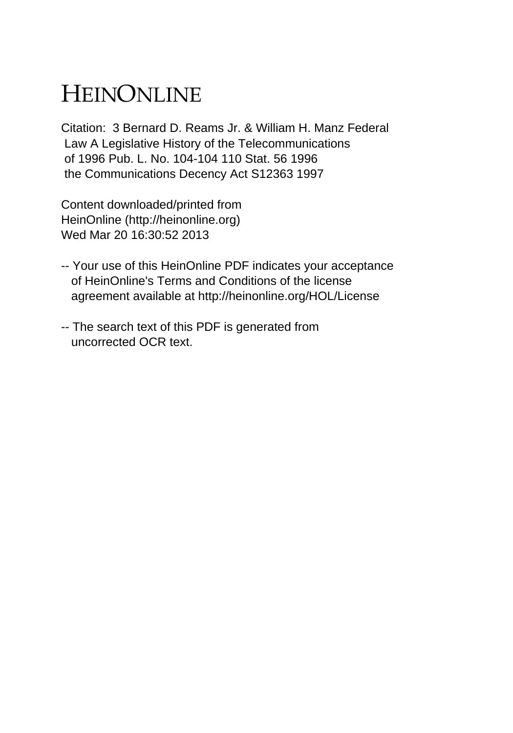# HEINONLINE

Citation: 3 Bernard D. Reams Jr. & William H. Manz Federal Law A Legislative History of the Telecommunications of 1996 Pub. L. No. 104-104 110 Stat. 56 1996 the Communications Decency Act S12363 1997

Content downloaded/printed from HeinOnline (http://heinonline.org) Wed Mar 20 16:30:52 2013

- -- Your use of this HeinOnline PDF indicates your acceptance of HeinOnline's Terms and Conditions of the license agreement available at http://heinonline.org/HOL/License
- -- The search text of this PDF is generated from uncorrected OCR text.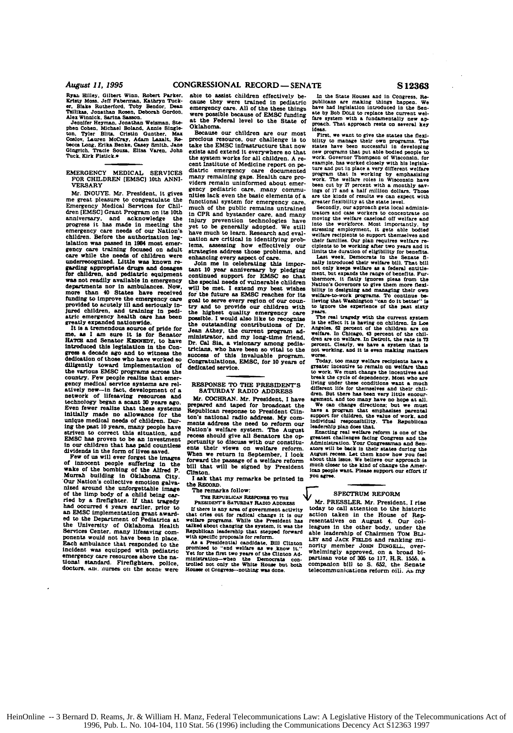**Ryan, Hilley, Gilbert Winn. Robert Parker. Kosty** Mos. Jeff **Faberman.** Kathryn Tuck-

er, Blake Rutherford, Toby Bendor, Deanne, Deanne, Deanne, John Gordon, Jehorah Gordon, Jehorah Jenne, Starting Starting, Starting Starting, Starting Starting, Starting Chenne, Michael Boland, Annie Single-Coalov, Tyler Bl Tuck, Kirk Fistick.e

## EMERGENCY MEDICAL **SERVICES** FOR CHILDREN **[EMSCI** 10th **ANNI-VERSARY**

Mr. **INIOUYE.** Mr. President, it gives me great pleasure to congratulate the Emergency Medical Services for **Chil-**dren **[EMSC]** Grant Program on its **10th** anniversary, and acknowledge the progress it has made in meeting the emergency care needs of our Nation's children. Before the authorization legislation was passed in 1984 most emergency care training focused on adult care while the needs of children were underrecognied. Little was known re**garding appropriate drugs** and dosages for children, **and** pediatric equipment was not readily available **in** emergency departments nor in ambulances. Now. more than 40 States have received funding to improve the emergency **care** provided to acutely ill and seriously in-lured children, **and** training in pedi-atric emergency health care has been greatly expanded nationwide.

It is a tremendous source of pride for me. as **I** am sure it is for Senator **HATCH** and Senator **KENNEDY**, to have Introduced this legislation in the Congross **a** decade ago and to witness the dedication of those who have worked so<br>diligently toward implementation of the various **EMSC** programs across the country. Few people realize that emergency medical service systems are rel-<br>atively new-in fact, development of a atively new-in fact, development of a network **of** lifesaving resources **and** technology began **a scant 30** years ago. Even fewer realize that these systems initially made no allowance for the unique medical needs of children. During the past **10** years, many people have striven to correct this situation, and **EMSC** has proven to be an investment EMSC has proven to be an investment<br>in our children that has paid countless<br>dividends in the form of lives saved.

dividends in the form of fives saved. **of** innocent people suffering in the wake of the bombing **of** the Alfred P. Murrah building in Oklahoma City. Murrah building in Oklahoma City.<br>Our Nation's collective emotion galvanized around the unforgettable image<br>of the limp body of a child being car-<br>ried by a fireflghter. If that tragedy<br>had occurred 4 years earlier, prior to an **EMSC** implementation grant award-ed to the Department **of** Pediatrics at the University of Oklahoma Health Services Center. many lifesaving **com**ponents would not have been in place. Each ambulance that responded to the incident was equipped with pediatric emergency care resources above the na-tional standard. Firefighters. police, doctors, **aiw.** urses **oin** the scene were

able to assist children effectively be-<br>cause they were trained in pediatric<br>emergency care. All of the these things<br>at the Federal level to the State of<br>Oklahoma.<br>Recause our children are our most<br>Recause our children are

precious resource, our challenge is to the<br>take the EMSC infrastructure that now<br>the estate and extend at extra non-<br>exists and extend it everywhere so that<br>diatric emergency care documented<br>diatric emergency care document

lems, assessing how effectively our<br>lems, assessing how effectively our<br>lems, assessing how effectively our<br>enhancing every aspect of care.<br>Join me in celebrating this impor-<br>tant 10 year anniversary by piedging<br>continued tricians, who have **been** so vital to the success of this invaluable program. Congratulations, **EMSC,** for **10** years of dedicated service.

**Mr. COCHRAN.** Mr. President, **I** have egement, **and** too many have no hope **at** all. prepared and **taped** for broadcast the **We can change** directions; **but** we must Republican response to President **Clin-** have **a** Program that emphasizes perental ton's national radio address. **My** com- support for children, the value of work. **and** ton's national radio address. My com-<br>individual responsibility. The value of work, and<br>menta address the need to reform our 'individual responsibility. The Republican<br>Nation's welfare system. The August seaters real veloc forward the passage of a welfare reform about this issue. We believe our approach is<br>bill that will be signed by President **much closer** to the kind of change the Amer-

I ask that my remarks be printed in the RECORD.<br>The remarks follow:

The remarks follow: **. SPECTRUM** REFORM

welt for the first two years of the First two years of the Clinton promised to "end welfare as we know it."<br>
The promised to "end welfare as we know it."<br>
Yet for the first two years of the Clinton Ad-<br>
Yet for the first t

In the State Houses and in Congress, Re-<br>publicans are making things happen. We<br>have had legislation introduced in the Sen-<br>ate by Bob DOLE to replace the current wel-<br>fare system with a fundamentally new approach. That approach **rets** on ssveral **key** ideas.<br>First, we want to give the states the flexi-

First, we want to give the states the **fexl-** bility to manage their own programs. The states have been successful In developing new programs that **put** able bodied people to work. Governor Thompson **of** Wisconsin. for example. has worked **closely** with his legisla- tare **and put in** place a very different welfare program that Is working **by** emphasising work. The welfare roles in Wisconsin have<br>been cut by 27 percent with a monthly save<br>ings of 17 and a half million dollars. Those<br>are the kinds of results we can expect with<br>greater fiexibility at the state level.

Secondly, our approach gets local adminis-trators and case workers to concentrate on moving the welfare caseload **off** welfare **and** into the workforce. Most importantly. **by** stressing employment, it gets able bodied<br>stressing employment, it gets able bodied welfare recipients to support themselves and<br>their families. Our plan requires welfare re-<br>cipients to be working after two years and it<br>limits the duration of eligibility for benefits.<br>Lest weak, Democrats in the Senate f

not only keeps welfare as a federal entitle-<br>ment, but expands the range of benefits. Fur-<br>thermore, it flatly ignores pleas from the<br>Nation's Governors to give them more flexibility **in** designing and managing their own welfare-to-work programs. To continue *be-*living that Washington **"can** do it better" Is to ignore the experience of the past sixty

years.<br>The real tragedy with the current sy The real tragedy with the current system<br>is the effect it is having on children. In Loe<br>Angeles, 62 percent of the children are on<br>welfare. In Chicago, 43 percent of the chil-<br>dren are on welfare. In Detroit, the rate is 7 **percenL Clearly. we have a** system that **is** not working, and It **is** even making matters **worse.**

Comparatulations, EMSC, for 10 years of Today, too may welfare recipients have a edicated service.<br>  $\frac{1}{2}$  in the service of the service of dependence in the service of the service of the service of the service of the s

bill that will be signed by President much closer to the kind of change the Amer-<br>Clifton.<br>Ican behavior of the property of the property of the state is a sound of the state of the state of the state of the state of the st

**THE REPUBLICAN RESPONSE TO THE SATURDAY'S SATURDAY'S SATURDAY PRESSLER. Mr. President, I rise<br>If there is any area of government activity today to call attention to the historic IF 18 to call attention to the historic action taken in the House of Representatives on August 4. Our col**natural change it is our action taken in the House of Representatives on any action taken in the House of Represidual change it is our action taken in the House of Represidual change it is our action to the Republican lead evolution when the Democrats conducts and vote of 305 to 117, H.R. 1555, a initiatration-when the Democrats conducts but the Renate of 305 to 117, H.R. 1555, a conducted to the Senate but both compensation bill to S. 552,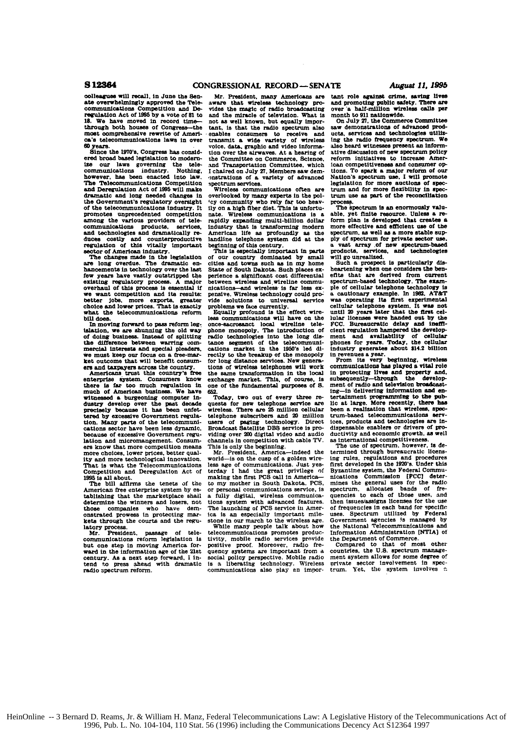oollesguee will recall, in June the Senate overwhelmingly approved the Tele-communications Competition and Decommunications Competition and De-<br>**18.** We have moved in record time-<br>18. We have moved in record time-<br>through both houses of Congress--the most comprehensive rewrite of America's telecommunications laws in over **60** years.

Since the 1970's, Congress has considered broad based legislation to modern-Ise our laws governing the tele-communications industry. Nothing, however, has been enacted Into law. The Telecommunications Competition and Deregulation Act of **1965 will** make dramatic and long needed changes in the Government's regulatory oversight of the telecommunications industry. It promotes unprecedented competition among the various providers of telecommunications products, services. and technologies and dramatically reduces costly and counterproductive regulation of this vitally important **sector** of American industry. The changes made In the legislation

are long overdue. The dramatic enhancemente **in** technology over the last few years have vastly outstripped the existing regulatory process. **A** major overhaul of this process is essential if we want competition and its results: better jobs, more exports, greater<br>choice and lower prices. That is exactly vhat the telecommunications reform bill does.

In moving forward to pass reform **leg-**islation, we are shunning the **old** way of doing business. Instead of splitting the difference between warring commercial interests and special pleaders. we must keep our focus on **a** free-market outcome that will benefit consum-

**ers and taxpayers across the country.**<br>Americans trust this country's free<br>entermine avatem. Consumers know enterprise system. Consumers there is far too much regulation in much of American business. We have much of American business. We have witnessed a burgeoning computer in-dustry develop over the past decade<br>precisely because it has been unfet-<br>tered by excessive Government regulation. Many **parts** of the telecommuni- cations sector have been less dynamic. because of excessive Government regulation **and** micromangement. Consum**ers** know that more competition means more choices, lower prices, better **qual-**Ity and more technological innovation. That **Is** what the Telecommunications Competition and Deregulation Act **of**

The bill affirms the tenets of the American free enterprise system **by** establishing that the marketplace shall determine the winners and losers, not those companies who have dem-onstrated prowess in protecting mar- kets through the courts and the **regu**latory process.<br>Mr. President.

Mr. President. passage **of** tele-communications reform legislation Is but one step in moving America forward in the information age of the 21st century. **As a** next step forward, **I** Intend to press ahead with dramatic radio 3pectrum reform.

Mr. President. many Americans are aware that wireless technology pro-vides the **magic** of radio broadcasting and the miracle of television. What **Is** not **as** well known, but equally Important, **is** that the radio spectrum aso enables consumers to receive and<br>transmit a wide variety of wireless voice, data, graphic and video informa-<br>tion over the airwayes. At a hearing of the Committee on Commerce, Science, and Tra7sportation Committee. which I chaired on July **27,** Members saw dem- ,3nstrations of **a** variety of advanced ipectrum services. Wireless communications often are

overlooked **by** many experts in the pol- **'Cy** community who rely far too heav**ily** on a high fiber diet. This is unfortu-nate. Wireless communications is **a** rapidly expending multi-billion dollar industry that **is** transforming modern American life as profoundly as the landline telephone system did at the beginning of this century.

beginning of this century. This **is** especially Important in parts **of** our country dominated **by** small cities and towns such as in my home State of South Dakota. Such places experience **a** significant cost differential between wireless and wireline communications-and wireless is far less expensive. Wireless technology could pro**vide** solutions to universal service problems we face currently.<br>Equally profound is the effect wire-

less communications will have on the once-sacrosanct local wireline tele-phone monopoly. The introduction of radio technologies into the long dis- **tance** segment of the telecommuni-cations market in the **1950's** led **di**rectly to the breakup of the monopoly for long distance services. New genera-<br>tions of wireless telephones will work the same transformation in the local exchange market. This, of course, is one of the fundamental purposes of **S. 652.**<br>Today two out of every three re-

Today, two out **of** every three re- quests for new telephone service **are** wireless. There **are 25** million cellular telephone subscribers and **20** million users of paging technology. Direct Broadcast Satellite **DBS** service is providing over 200 digital video and audio channels in competition with cable TV. This is only the beginning.<br>Mr. President, America--indeed the

world-is on the cusp of a golden wireless age of communications. Just **yes**terday I **had** the great privilege **of** making the first **PCS** call In Americato my mother in South Dakota. **PCS,** or personal communications service, is a fully digital, wireless communica-tions system with advanced features. The launching of **PCS** service **in** America is an especially important milestone in our march to the wireless age.<br>While many people talk about how

telecommunications promotes productivity, mobile radio services prnvide positive proof. Moreover, radio frequency systems are important from a social policy perspective. Mobile radio **is a** liberating technology. Wireless communications also play an impor**tent** role against crime. saving **lives** and promoting **public** safety. **There are** over \*a half-million wireless calls per

month to **911** nationwide. On July **27.** the Commerce Committee saw demonstrations of advanced products. services and technologies utilizing the radio frequency spectrum. We also heard witnesses present an Informative discussion **of** new spectrum policy reform initiatives to increase Amerlcan competitiveness and consumer options. To spark **a** major reform **of** our Nation's spectrum **use. I will** promote legislation for more auctions of spec-<br>trum and for more flexibility in spectrum use **as** part of the reconciliation process.

The spectrum is an enormously valuable, yet finite resource. Unless **a** reform plan is developed that creates **a** more effective **and** efficient use **of** the spectrum, as well as **a** more stable sup**ply** of spectrum for private sector use. a vast array of new spectrum-based products, services, and technologies will go unrealized. Such a prospect is particularly **dis-**

heartening when one considers **the** benefits that are derived from current spectrum-based technology. The **exam- pe** of cellular telephone technology is a cautionary example. In **1982.** AT&T was operating its first experimental cellular telephone system. It was not until 20 years later that the first **cel**until 20 years later that the first cellular licenses were handed out by the **FCC.** Bureaucratic delay and inefflcient regulation hampered the development and availability of cellular ment and availability of cellular industry generates about \$14.2 billion in revenues a year. From its very beginning, wireless communications has played a vital role communications has pla

in protecting lives and property and. subsequently-through the **develop-**ment of radio and television broadcasting-in 'delivering information and *en-* tertainment prograrrunig to the **pub-lc** at large. More recently, there has been a realization that wirelems, spectrum-based telecommunications serv-**ices,** products and technologies **ars** indispensable enablers or drivers of pro- ductivity and economic growth, as well as international competitiveness. The use of spectrum, however, **is** de-

termined through bureaucratic licens-ing rules, regulations and procedures first developed In the **1920's.** Under this Byzantine system, the Federal Communications Commission **[FCC]** deter-<br>mines the general uses for the radio<br>spectrum, allocates bands of fre-<br>quencies to each of those uses, and then issues/assigns licenses for the use of frequencies in each band for specific uses. Spectrum utilized **by** Federal Government agencies **is** managed **by** the National Telecommunications and Information Administration INTIA] **o** the Department of Commerce.

Compared to that of most other countries, the U.S. spectrum manage-<br>ment system allows for some degree of ment system allows for some degree of private sector involvement in spec-<br>trum. Yet, the system involves n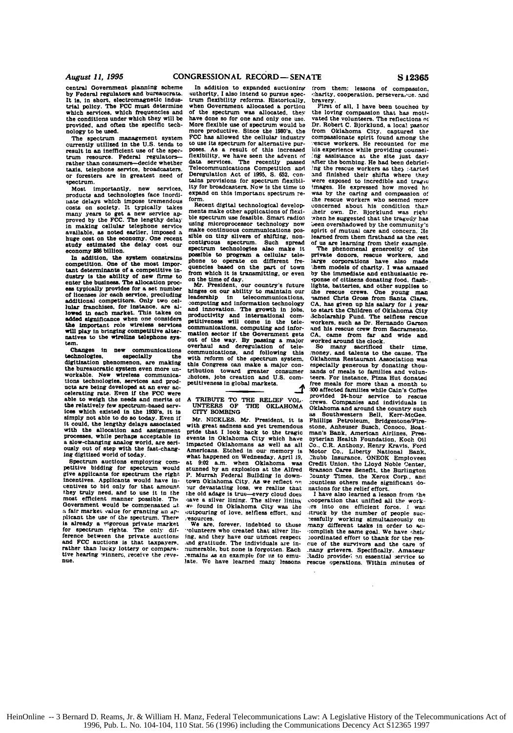central Government planning scheme **by** Federal regulators and bureaucrats It **is.** in short, electromagnetic indus-trial policy. The **FCC** must determine which services, which frequencies and the conditions under which they will **be** provided, and often the specific tech. nology to be used.

The spectrum management system currently utilized in the **U.S.** tends tc result in an inefficient use of the spectrum resource. Federal regulatorsrather than consumers-decide whether taxis, telephone service, broadcasters. or foresters **are** in greatest need **o1** spectrum.

Most importantly, **new** services, products and technologies face Inordisate delays which Impose tremendous costa on society. It typically takes many years to get a new service ap- proved **by** the **FCC.** The lengthy delay in making cellular telephone service available, as noted earlier, imposed a huge cost on the economy. One recent study estimated the delay cost our

economy **S86** billion. competition. One of the most important determinants of a competitive in-<br>dustry is the ability of new firms to current dustry is the ability of new firms to<br>enter the business. The allocation processes typically provides f

technologies, especially the technologies, especially the digitation phenomenon, are making the bureaucratic system even more un-<br>workable. New wireless communications technologies, services and produce<br>acts are being deve Ing digitized world of today.

Spectrum auctions employing com-<br>petitive bidding for spectrum would give applicants for spectrum the right. centives to **bid** only for that amount. they truly need. and to use it **in** the most efficient manner possible. Th, Government would be compensated at **a** fair market value for granting **an ap**is already a vigorous private market<br>for spectrum rights. The only dif-<br>ference between the private auctions<br>and PCC auctions is that taxpayers,<br>rather than lucky lottery or compara-<br>tive hearing winners, receive the revenue.

In addition to expanded auctioning substanting to the method of pursue spectrum flexibility reforms. Historically, when Government allocated a portion when Government allocated a portion have done so for one and only one uso. More flexible use of spectrum w to use its spectrum for alternative pur-<br>poses. As a result of this increased<br>flexibility, we have seen the advent of<br>data services. The recently passed<br>Telecommunications Competition and<br>Deregulation Act of 1995, S. 652; ity for broadcasters. Now is the time to expand on this important spectrum re-<br>form.<br>The Recent digital technological develop-

ments make other applications of flexi-<br>ble spectrum use feasible. Smart radios using microprocessor technology now<br>make continuous communications possible on tiny slivers of shifting, non-contiguous spectrum. Such spread spectrum technologies also make it spectrum technologies also make it possible to program a cellular tele-<br>phone to operate on different fre-<br>quencies based on the part of town<br>from which it is transmitting, or even

**from the time of day.** Mr. President, our country's future hinges on our ability to maintain our hinges on our ability to maintain is elected in the communications, computing and information technology and innovation. The growth in jobs,<br>productivity and international com-<br>petitiveness will come in the telepeutwesse will communications, computing and information sector if the Government gets out of the Government gets overhaul and deregulation of tele-<br>out of the way. By passing a major communications, and following this<br>wit

**<sup>A</sup>**TRIBUTE TO **THE** RELIEF VOL- **UNTEERS** OF THE OKLAHOMA CITY BOMBING<br>CITY BOMBING<br>Mr. NICKLES. Mr. President, it is

on. Nucleus, on Tressuent, it is<br>with great sadness and yet tremendous<br>grid that I look back to the tragic<br>events in Oklahomas City which have<br>events in Oklahomas as well as all<br>Americans. Etched in our memory is<br>at 9:02 a town Oklahoma City. As we reflect on<br>our devastating loss, we realize that<br>the old adage is true—every cloud does<br>have a silver liming. The silver liming<br>we found in Oklahoma City was the<br>outpouring of love, selfless effor

We are, forever, indebted to those "olunteers who created that sliver line-<br>ing, and they have our utmost respections,<br>and gratitude. The individuals are in-<br>numerable, but none is forgotten. Each<br>remains as an example for

**from** them: lessons of compasion. charity. cooperation. persevera, ce. and bravery.

First **of** all. **I** have been touched by the loving compassion that has mot! vated the volunteers. The reflections of Dr. Robert **C.** Bjorklund, a local pastor from Oklahoma City, captured the compassionate spirit found among the vescue workers. He recounted for me<br>his experience while providing counsel**his experience at the site just days** after the bombing. He **had** been debrieing the rescue workers as they :.tarted and finished their shifts where they were exposed to incredible and tragic images. He expressed how moved he<br>was by the caring and compassion of the rescue workers who seemed more concerned about his condition than 6heir own. Dr. BJorklund was right vhen he suggested that the tragedy has iueen overshadowed **by** the community's spirit **of** mutual care and concern. **He** learned from them firsthand **as** the rest

of us are learning from their example. phenomenal generosity private donors, rescue workers, and large corporations have also made .hem models of charity. **I** was amazed **by** the immediate and enthusiastic reiponse of citizens donating **food.** flashlights, batteries, and other supplies to the rescue crews. One young man named Chris Gross from Santa Clara, **CA.** has given **up** his salary for **I** year to start the Children of Oklahoma City Scholarship Fund. The selfless rescue workers, such as Dr. Hernando **Garson** and his rescue crew from Sacramento.<br>CA, came from far and wide and **CA,** came from far and wide and worked around the clock. **So** many sacrificed their time.

So many sacrificed their time, money, and talents to the cause. The Oklahoma Restaurant Association was especially generous by donating thou-<br>sands of meals to families and volunteers. For instance. Pizza Hut donated free meals for more than a month to **:300** affected families while Cain's Coffee provided 24-hour service to rescue crews. Companies and individuals in Oklahoma and around the country such as Southwestern Bell, Kerr-McGee. Phillips Petroleum. Bridgestone/Firestone. Anheuser Busch. Conoco. Boat-man's Bank. American Airlines, Presnyterian Health Foundation, Koch **Oil** Co., C.R. Anthony. Henry Kravis. Ford Motor Co., Liberty National Bank.<br>'hubb Insurance. ONEOK Employees<br>Credit Union, the Lloyd Noble Center,<br>Branson Cares Benefit, the Burlington 'ounty Times, the Xerox Corp., and countless others made significant do-

nations for the relief effort. **I** have also learned a lesson from the cooperation that unified all the work- **•** -re into one efficient force. I wa. ;truck **by** the number **of** people sucressfully working simultaneously on many different tasks in order to accomplish the same goal. We have *shell* ,oordinated effort to thank for the rescue of the survivors and the care **of**<br>
.nany grievers. Specifically. Amateur<br>**Radio provide<sup>7</sup>** an essential *service to*<br>rescue operations. Within minutes of

**ATE S 12365**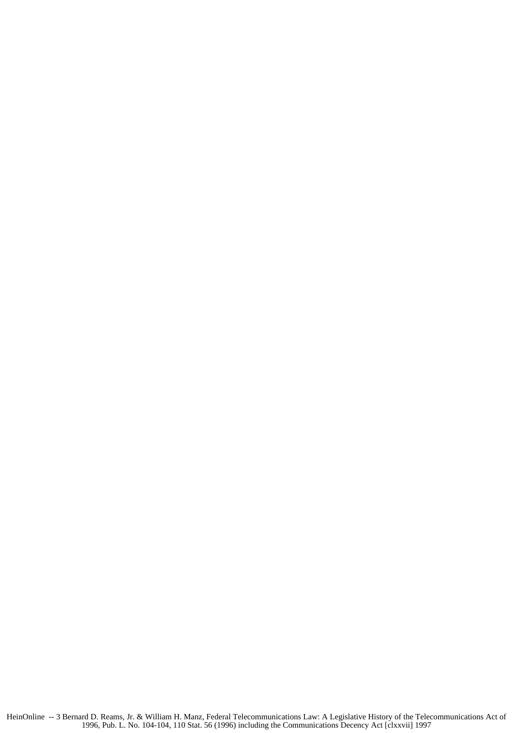HeinOnline -- 3 Bernard D. Reams, Jr. & William H. Manz, Federal Telecommunications Law: A Legislative History of the Telecommunications Act of 1996, Pub. L. No. 104-104, 110 Stat. 56 (1996) including the Communications Decency Act [clxxvii] 1997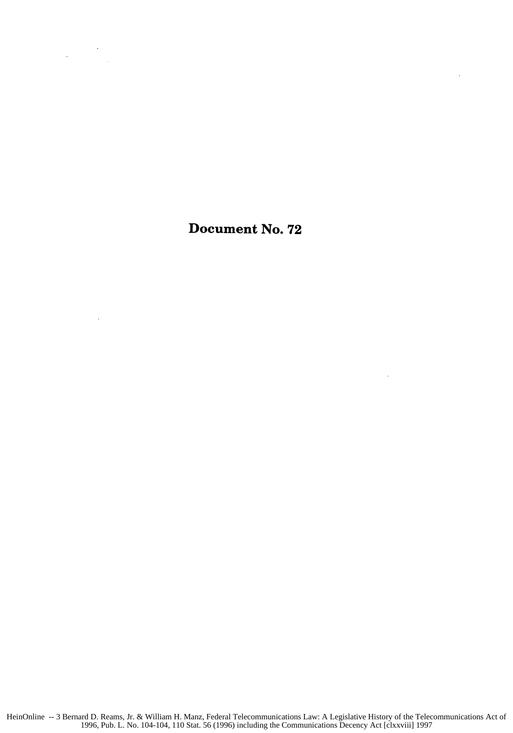Document No. **72**

 $\frac{1}{2} \left( \frac{1}{2} \right)^{2} \left( \frac{1}{2} \right)^{2}$ 

 $\cdot$